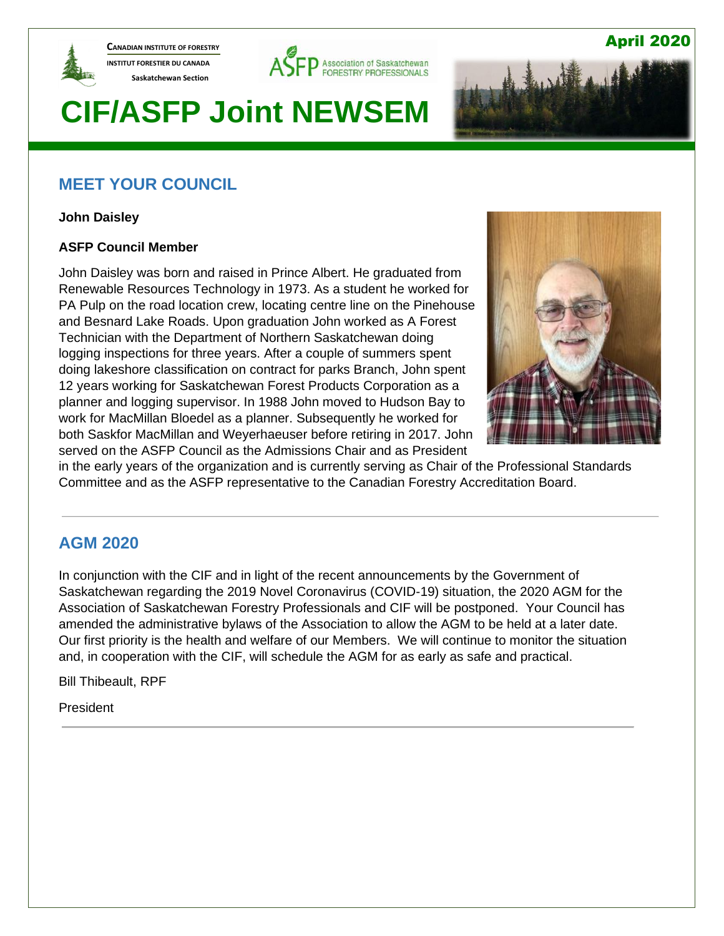

**CANADIAN INSTITUTE OF FORESTRY INSTITUT FORESTIER DU CANADA Saskatchewan Section** 



# **CIF/ASFP Joint NEWSEM**

# **MEET YOUR COUNCIL**

**John Daisley**

#### **ASFP Council Member**

John Daisley was born and raised in Prince Albert. He graduated from Renewable Resources Technology in 1973. As a student he worked for PA Pulp on the road location crew, locating centre line on the Pinehouse and Besnard Lake Roads. Upon graduation John worked as A Forest Technician with the Department of Northern Saskatchewan doing logging inspections for three years. After a couple of summers spent doing lakeshore classification on contract for parks Branch, John spent 12 years working for Saskatchewan Forest Products Corporation as a planner and logging supervisor. In 1988 John moved to Hudson Bay to work for MacMillan Bloedel as a planner. Subsequently he worked for both Saskfor MacMillan and Weyerhaeuser before retiring in 2017. John served on the ASFP Council as the Admissions Chair and as President



April 2020

in the early years of the organization and is currently serving as Chair of the Professional Standards Committee and as the ASFP representative to the Canadian Forestry Accreditation Board.

## **AGM 2020**

In conjunction with the CIF and in light of the recent announcements by the Government of Saskatchewan regarding the 2019 Novel Coronavirus (COVID-19) situation, the 2020 AGM for the Association of Saskatchewan Forestry Professionals and CIF will be postponed. Your Council has amended the administrative bylaws of the Association to allow the AGM to be held at a later date. Our first priority is the health and welfare of our Members. We will continue to monitor the situation and, in cooperation with the CIF, will schedule the AGM for as early as safe and practical.

Bill Thibeault, RPF

President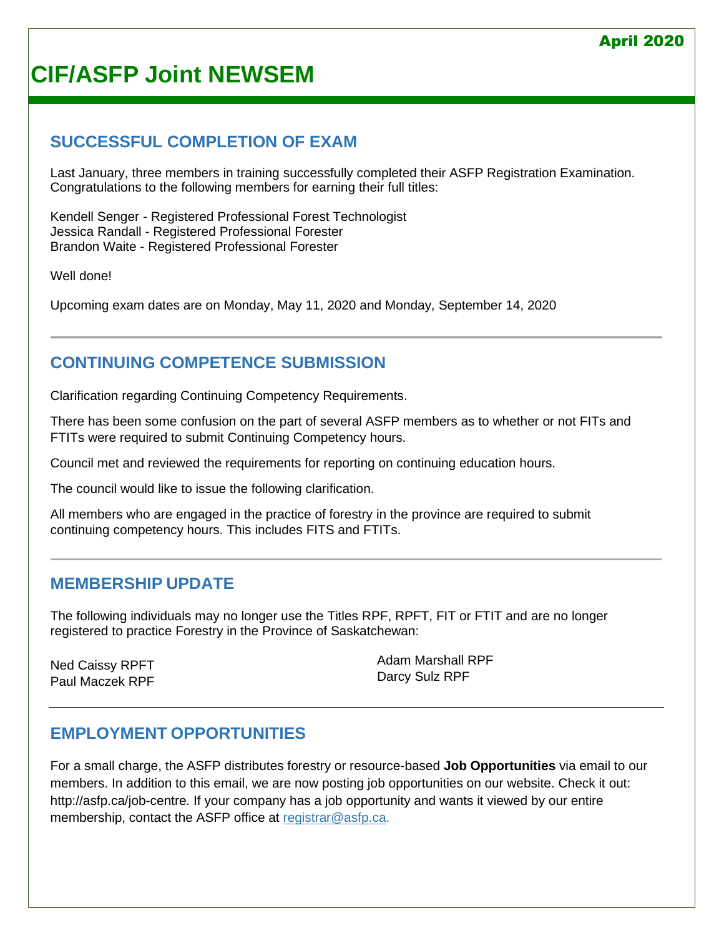# **CIF/ASFP Joint NEWSEM**

# **SUCCESSFUL COMPLETION OF EXAM**

Last January, three members in training successfully completed their ASFP Registration Examination. Congratulations to the following members for earning their full titles:

Kendell Senger - Registered Professional Forest Technologist Jessica Randall - Registered Professional Forester Brandon Waite - Registered Professional Forester

Well done!

Upcoming exam dates are on Monday, May 11, 2020 and Monday, September 14, 2020

# **CONTINUING COMPETENCE SUBMISSION**

Clarification regarding Continuing Competency Requirements.

There has been some confusion on the part of several ASFP members as to whether or not FITs and FTITs were required to submit Continuing Competency hours.

Council met and reviewed the requirements for reporting on continuing education hours.

The council would like to issue the following clarification.

All members who are engaged in the practice of forestry in the province are required to submit continuing competency hours. This includes FITS and FTITs.

## **MEMBERSHIP UPDATE**

The following individuals may no longer use the Titles RPF, RPFT, FIT or FTIT and are no longer registered to practice Forestry in the Province of Saskatchewan:

Ned Caissy RPFT Paul Maczek RPF Adam Marshall RPF Darcy Sulz RPF

# **EMPLOYMENT OPPORTUNITIES**

For a small charge, the ASFP distributes forestry or resource-based **Job Opportunities** via email to our members. In addition to this email, we are now posting job opportunities on our website. Check it out: [http://asfp.ca/job-centre.](http://asfp.ca/job-centre) If your company has a job opportunity and wants it viewed by our entire membership, contact the ASFP office at [registrar@asfp.ca.](mailto:registrar@asfp.ca)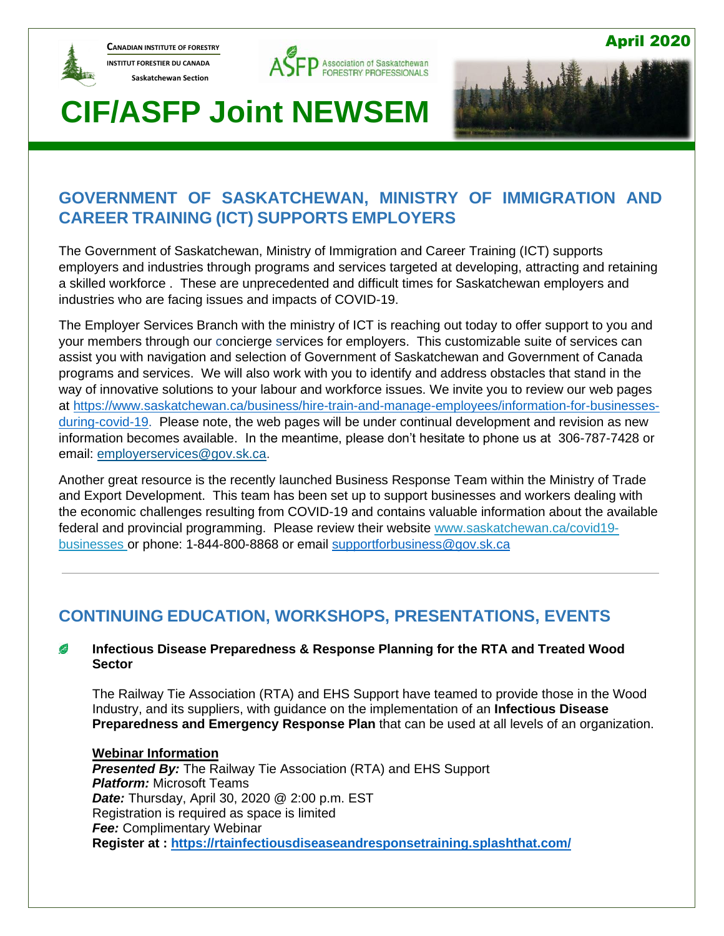

**CANADIAN INSTITUTE OF FORESTRY INSTITUT FORESTIER DU CANADA Saskatchewan Section** 





April 2020

# **CIF/ASFP Joint NEWSEM**

# **GOVERNMENT OF SASKATCHEWAN, MINISTRY OF IMMIGRATION AND CAREER TRAINING (ICT) SUPPORTS EMPLOYERS**

The Government of Saskatchewan, Ministry of Immigration and Career Training (ICT) supports employers and industries through programs and services targeted at developing, attracting and retaining a skilled workforce . These are unprecedented and difficult times for Saskatchewan employers and industries who are facing issues and impacts of COVID-19.

The Employer Services Branch with the ministry of ICT is reaching out today to offer support to you and your members through our concierge services for employers. This customizable suite of services can assist you with navigation and selection of Government of Saskatchewan and Government of Canada programs and services. We will also work with you to identify and address obstacles that stand in the way of innovative solutions to your labour and workforce issues. We invite you to review our web pages at [https://www.saskatchewan.ca/business/hire-train-and-manage-employees/information-for-businesses](https://www.saskatchewan.ca/business/hire-train-and-manage-employees/information-for-businesses-during-covid-19)[during-covid-19.](https://www.saskatchewan.ca/business/hire-train-and-manage-employees/information-for-businesses-during-covid-19) Please note, the web pages will be under continual development and revision as new information becomes available. In the meantime, please don't hesitate to phone us at 306-787-7428 or email: [employerservices@gov.sk.ca.](mailto:employerservices@gov.sk.ca)

Another great resource is the recently launched Business Response Team within the Ministry of Trade and Export Development. This team has been set up to support businesses and workers dealing with the economic challenges resulting from COVID-19 and contains valuable information about the available federal and provincial programming. Please review their website [www.saskatchewan.ca/covid19](http://www.saskatchewan.ca/covid19-businesses) [businesses](http://www.saskatchewan.ca/covid19-businesses) or phone: 1-844-800-8868 or email [supportforbusiness@gov.sk.ca](mailto:supportforbusiness@gov.sk.ca)

# **CONTINUING EDUCATION, WORKSHOPS, PRESENTATIONS, EVENTS**

#### B **Infectious Disease Preparedness & Response Planning for the RTA and Treated Wood Sector**

The Railway Tie Association (RTA) and EHS Support have teamed to provide those in the Wood Industry, and its suppliers, with guidance on the implementation of an **Infectious Disease Preparedness and Emergency Response Plan** that can be used at all levels of an organization.

#### **Webinar Information**

*Presented By:* The Railway Tie Association (RTA) and EHS Support *Platform:* Microsoft Teams *Date:* Thursday, April 30, 2020 @ 2:00 p.m. EST Registration is required as space is limited *Fee:* Complimentary Webinar **Register at : <https://rtainfectiousdiseaseandresponsetraining.splashthat.com/>**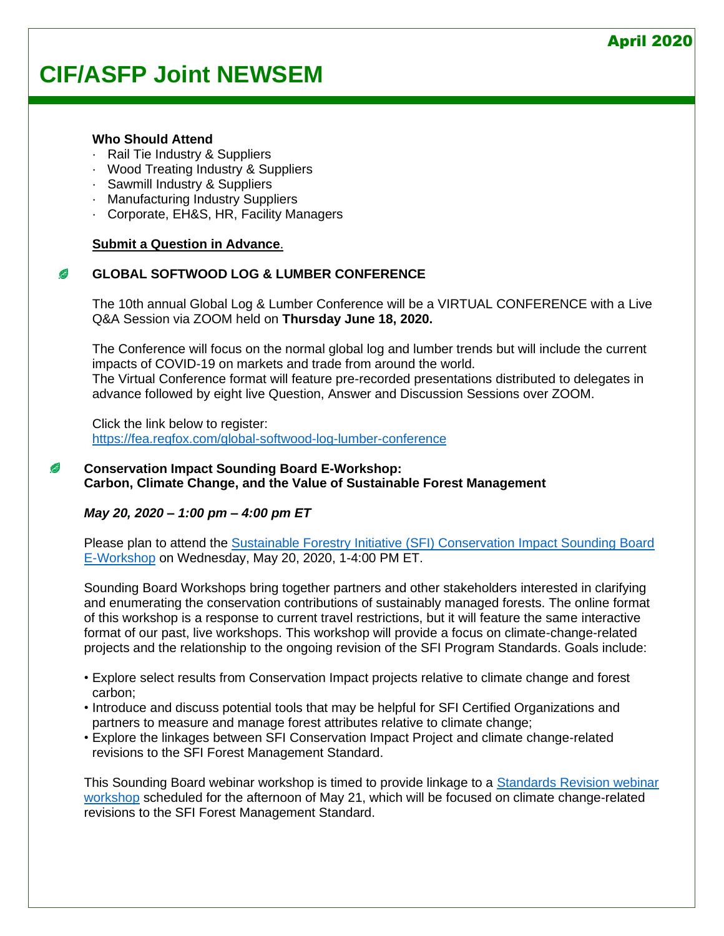# **CIF/ASFP Joint NEWSEM**

#### **Who Should Attend**

- Rail Tie Industry & Suppliers
- · Wood Treating Industry & Suppliers
- · Sawmill Industry & Suppliers
- · Manufacturing Industry Suppliers
- · Corporate, EH&S, HR, Facility Managers

#### **Submit a [Question](mailto:%20monica.meyer@ehs-support.com) in Advance**.

#### **GLOBAL SOFTWOOD LOG & LUMBER CONFERENCE** C

The 10th annual Global Log & Lumber Conference will be a VIRTUAL CONFERENCE with a Live Q&A Session via ZOOM held on **Thursday June 18, 2020.**

The Conference will focus on the normal global log and lumber trends but will include the current impacts of COVID-19 on markets and trade from around the world. The Virtual Conference format will feature pre-recorded presentations distributed to delegates in advance followed by eight live Question, Answer and Discussion Sessions over ZOOM.

Click the link below to register: <https://fea.regfox.com/global-softwood-log-lumber-conference>

#### C **Conservation Impact Sounding Board E-Workshop: Carbon, Climate Change, and the Value of Sustainable Forest Management**

#### *May 20, 2020 – 1:00 pm – 4:00 pm ET*

Please plan to attend the [Sustainable Forestry Initiative \(SFI\) Conservation Impact Sounding Board](http://r20.rs6.net/tn.jsp?f=0011TkEkHibmTtw5qrw9STn8NHY1jIu4BYC3hpPlmPmTBNH4oVDrPSsf0TdVOw52sN6VXG05KZJA_-6yqqAF6gitvESxyQLd4-f0sBB8WNyS9C3tdzKB4Luyoy5Fn_-p6o9A2Hc_jKfWdf4Qmk__MWrJDo88WZTy-sve-zH50onn6IJ5dMT3YfoLTFvgPBxT12K&c=HXi2oZ1ashelYlou2dnThD-T8Jg87AUwaDjOd5uNAbWxwf9qYigZpQ==&ch=4KXFVxg2zg8To2tAzNvw_-VmUEmrpmbbM9NGN_y2HFBr35HsK4x_qw==)  [E-Workshop](http://r20.rs6.net/tn.jsp?f=0011TkEkHibmTtw5qrw9STn8NHY1jIu4BYC3hpPlmPmTBNH4oVDrPSsf0TdVOw52sN6VXG05KZJA_-6yqqAF6gitvESxyQLd4-f0sBB8WNyS9C3tdzKB4Luyoy5Fn_-p6o9A2Hc_jKfWdf4Qmk__MWrJDo88WZTy-sve-zH50onn6IJ5dMT3YfoLTFvgPBxT12K&c=HXi2oZ1ashelYlou2dnThD-T8Jg87AUwaDjOd5uNAbWxwf9qYigZpQ==&ch=4KXFVxg2zg8To2tAzNvw_-VmUEmrpmbbM9NGN_y2HFBr35HsK4x_qw==) on Wednesday, May 20, 2020, 1-4:00 PM ET.

Sounding Board Workshops bring together partners and other stakeholders interested in clarifying and enumerating the conservation contributions of sustainably managed forests. The online format of this workshop is a response to current travel restrictions, but it will feature the same interactive format of our past, live workshops. This workshop will provide a focus on climate-change-related projects and the relationship to the ongoing revision of the SFI Program Standards. Goals include:

- Explore select results from Conservation Impact projects relative to climate change and forest carbon;
- Introduce and discuss potential tools that may be helpful for SFI Certified Organizations and partners to measure and manage forest attributes relative to climate change;
- Explore the linkages between SFI Conservation Impact Project and climate change-related revisions to the SFI Forest Management Standard.

This Sounding Board webinar workshop is timed to provide linkage to a [Standards Revision webinar](http://r20.rs6.net/tn.jsp?f=0011TkEkHibmTtw5qrw9STn8NHY1jIu4BYC3hpPlmPmTBNH4oVDrPSsfziF6m2yYQn3LuE3uDjEYI_nhVyNY-8-9E7g5VZqKNSx7wr4jZJ5HLiaVC7US4LQ_ynYSsF3jGXDJZEwt6TaoQ84ijXY9d4g23-fdf3vGn1CizxLFfbe247XqDvQV95ifOUsJcvgTIpC&c=HXi2oZ1ashelYlou2dnThD-T8Jg87AUwaDjOd5uNAbWxwf9qYigZpQ==&ch=4KXFVxg2zg8To2tAzNvw_-VmUEmrpmbbM9NGN_y2HFBr35HsK4x_qw==)  [workshop](http://r20.rs6.net/tn.jsp?f=0011TkEkHibmTtw5qrw9STn8NHY1jIu4BYC3hpPlmPmTBNH4oVDrPSsfziF6m2yYQn3LuE3uDjEYI_nhVyNY-8-9E7g5VZqKNSx7wr4jZJ5HLiaVC7US4LQ_ynYSsF3jGXDJZEwt6TaoQ84ijXY9d4g23-fdf3vGn1CizxLFfbe247XqDvQV95ifOUsJcvgTIpC&c=HXi2oZ1ashelYlou2dnThD-T8Jg87AUwaDjOd5uNAbWxwf9qYigZpQ==&ch=4KXFVxg2zg8To2tAzNvw_-VmUEmrpmbbM9NGN_y2HFBr35HsK4x_qw==) scheduled for the afternoon of May 21, which will be focused on climate change-related revisions to the SFI Forest Management Standard.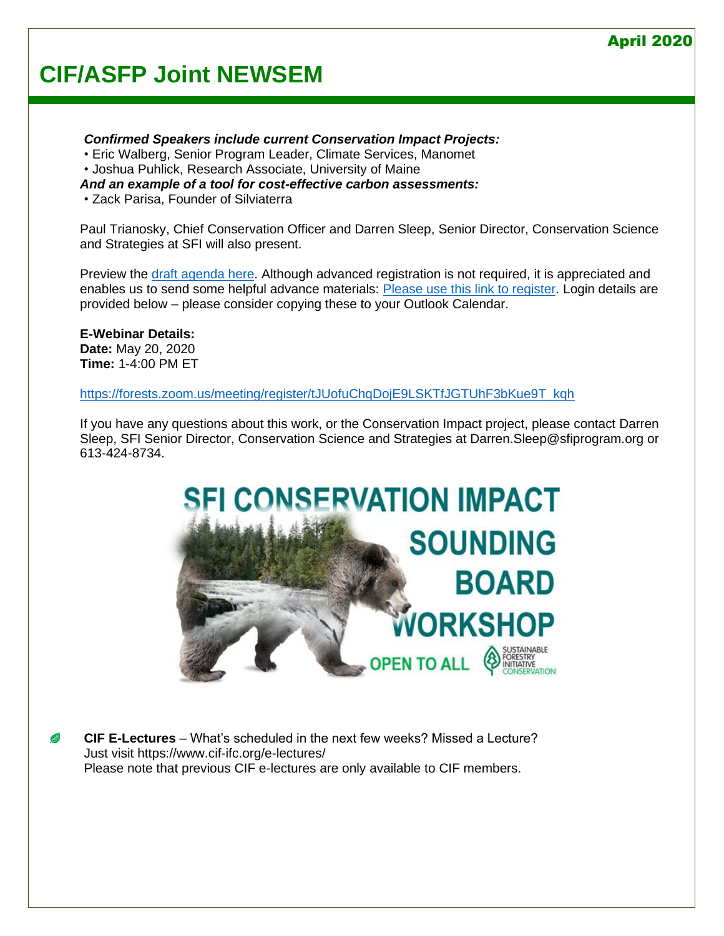# **CIF/ASFP Joint NEWSEM**

*Confirmed Speakers include current Conservation Impact Projects:*  • Eric Walberg, Senior Program Leader, Climate Services, Manomet

- Joshua Puhlick, Research Associate, University of Maine
- *And an example of a tool for cost-effective carbon assessments:*
- Zack Parisa, Founder of Silviaterra

Paul Trianosky, Chief Conservation Officer and Darren Sleep, Senior Director, Conservation Science and Strategies at SFI will also present.

Preview the [draft agenda here.](http://r20.rs6.net/tn.jsp?f=0011TkEkHibmTtw5qrw9STn8NHY1jIu4BYC3hpPlmPmTBNH4oVDrPSsf1nfH7jgbv5c51BQ_qemR5w4hYsLcqLcWmPN_YOhBdwevrS-NJh3gj3nApAxb7-gzVw0kszKHZSoUBuAGBOQCGuSjlhvtI4jVfpvUNtjJvy0lI5iMC86v11KEwqLzSeV9gDKC0EHsuNBB3i3g8-VTFU=&c=HXi2oZ1ashelYlou2dnThD-T8Jg87AUwaDjOd5uNAbWxwf9qYigZpQ==&ch=4KXFVxg2zg8To2tAzNvw_-VmUEmrpmbbM9NGN_y2HFBr35HsK4x_qw==) Although advanced registration is not required, it is appreciated and enables us to send some helpful advance materials: [Please use this link to register.](http://r20.rs6.net/tn.jsp?f=0011TkEkHibmTtw5qrw9STn8NHY1jIu4BYC3hpPlmPmTBNH4oVDrPSsf1nfH7jgbv5ccjgNT8D7nRkn-0VEfKZ7Injnu6NmQu7yeJ0LxxEywhokTA6boSjfrTgG9Tix4LWrcvQSxeSspLraX9toXLup8XjVFYWlmk4n4--bmPXgfrGK28807UP_gz_MPxzb37fHz9pZ8aOKJ7BnQU0igFOeJVIWpVpfJt2g&c=HXi2oZ1ashelYlou2dnThD-T8Jg87AUwaDjOd5uNAbWxwf9qYigZpQ==&ch=4KXFVxg2zg8To2tAzNvw_-VmUEmrpmbbM9NGN_y2HFBr35HsK4x_qw==) Login details are provided below – please consider copying these to your Outlook Calendar.

**E-Webinar Details: Date:** May 20, 2020 **Time:** 1-4:00 PM ET

[https://forests.zoom.us/meeting/register/tJUofuChqDojE9LSKTfJGTUhF3bKue9T\\_kqh](https://forests.zoom.us/meeting/register/tJUofuChqDojE9LSKTfJGTUhF3bKue9T_kqh)

If you have any questions about this work, or the Conservation Impact project, please contact Darren Sleep, SFI Senior Director, Conservation Science and Strategies at Darren.Sleep@sfiprogram.org or 613-424-8734.



**CIF E-Lectures** – What's scheduled in the next few weeks? Missed a Lecture? B Just visit<https://www.cif-ifc.org/e-lectures/> Please note that previous CIF e-lectures are only available to CIF members.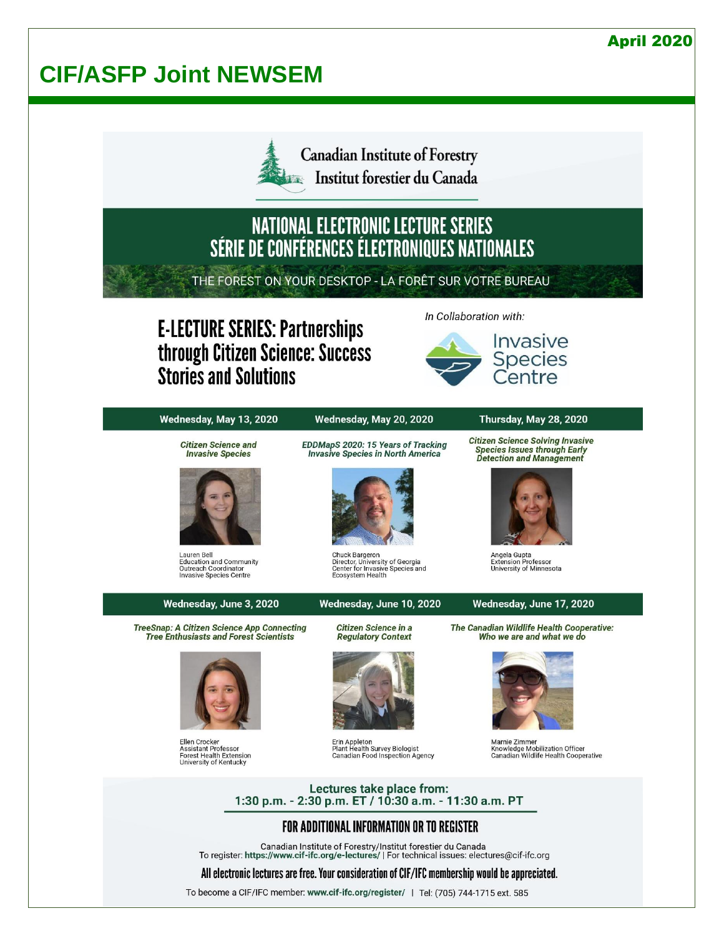# **CIF/ASFP Joint NEWSEM**



**Canadian Institute of Forestry** Institut forestier du Canada

# NATIONAL ELECTRONIC LECTURE SERIES<br>SÉRIE DE CONFÉRENCES ÉLECTRONIQUES NATIONALES

THE FOREST ON YOUR DESKTOP - LA FORÊT SUR VOTRE BUREAU

# **E-LECTURE SERIES: Partnerships** through Citizen Science: Success **Stories and Solutions**

In Collaboration with:



Wednesday, May 13, 2020

#### Wednesday, May 20, 2020

#### Thursday, May 28, 2020

**Citizen Science and Invasive Species** 



Lauren Bell Lauren Bell<br>Education and Community<br>Outreach Coordinator<br>Invasive Species Centre

## Wednesday, June 3, 2020 **TreeSnap: A Citizen Science App Connecting**

**Tree Enthusiasts and Forest Scientists** 

Ellen Crocker<br>Assistant Professor<br>Forest Health Extension<br>University of Kentucky

EDDMapS 2020: 15 Years of Tracking **Invasive Species in North America** 



Chuck Bargeron<br>Director, University of Georgia<br>Center for Invasive Species and<br>Ecosystem Health

#### Wednesday, June 10, 2020

Citizen Science in a **Regulatory Context** 



Erin Appleton<br>Plant Health Survey Biologist<br>Canadian Food Inspection Agency

**Citizen Science Solving Invasive Species Issues through Early Detection and Management** 



Angela Gupta<br>Extension Professor<br>University of Minnesota

#### Wednesday, June 17, 2020

The Canadian Wildlife Health Cooperative: Who we are and what we do



Marnie Zimmer **Knowledge Mobilization Officer<br>Canadian Wildlife Health Cooperative** 

Lectures take place from: 1:30 p.m. - 2:30 p.m. ET / 10:30 a.m. - 11:30 a.m. PT

### FOR ADDITIONAL INFORMATION OR TO REGISTER

Canadian Institute of Forestry/Institut forestier du Canada<br>To register: https://www.cif-ifc.org/e-lectures/ | For technical issues: electures@cif-ifc.org

#### All electronic lectures are free. Your consideration of CIF/IFC membership would be appreciated.

To become a CIF/IFC member: www.cif-ifc.org/register/ | Tel: (705) 744-1715 ext. 585